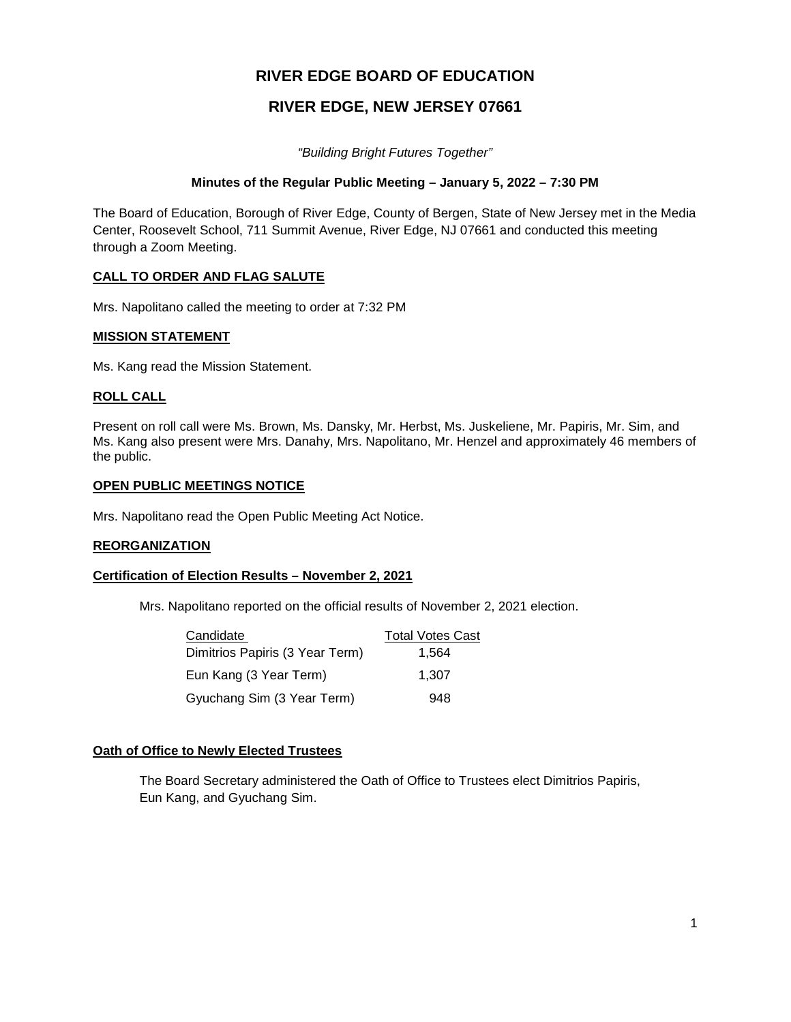# **RIVER EDGE BOARD OF EDUCATION**

# **RIVER EDGE, NEW JERSEY 07661**

*"Building Bright Futures Together"*

## **Minutes of the Regular Public Meeting – January 5, 2022 – 7:30 PM**

The Board of Education, Borough of River Edge, County of Bergen, State of New Jersey met in the Media Center, Roosevelt School, 711 Summit Avenue, River Edge, NJ 07661 and conducted this meeting through a Zoom Meeting.

## **CALL TO ORDER AND FLAG SALUTE**

Mrs. Napolitano called the meeting to order at 7:32 PM

#### **MISSION STATEMENT**

Ms. Kang read the Mission Statement.

## **ROLL CALL**

Present on roll call were Ms. Brown, Ms. Dansky, Mr. Herbst, Ms. Juskeliene, Mr. Papiris, Mr. Sim, and Ms. Kang also present were Mrs. Danahy, Mrs. Napolitano, Mr. Henzel and approximately 46 members of the public.

#### **OPEN PUBLIC MEETINGS NOTICE**

Mrs. Napolitano read the Open Public Meeting Act Notice.

#### **REORGANIZATION**

#### **Certification of Election Results – November 2, 2021**

Mrs. Napolitano reported on the official results of November 2, 2021 election.

| Candidate                       | <b>Total Votes Cast</b> |
|---------------------------------|-------------------------|
| Dimitrios Papiris (3 Year Term) | 1.564                   |
| Eun Kang (3 Year Term)          | 1.307                   |
| Gyuchang Sim (3 Year Term)      | 948                     |

#### **Oath of Office to Newly Elected Trustees**

The Board Secretary administered the Oath of Office to Trustees elect Dimitrios Papiris, Eun Kang, and Gyuchang Sim.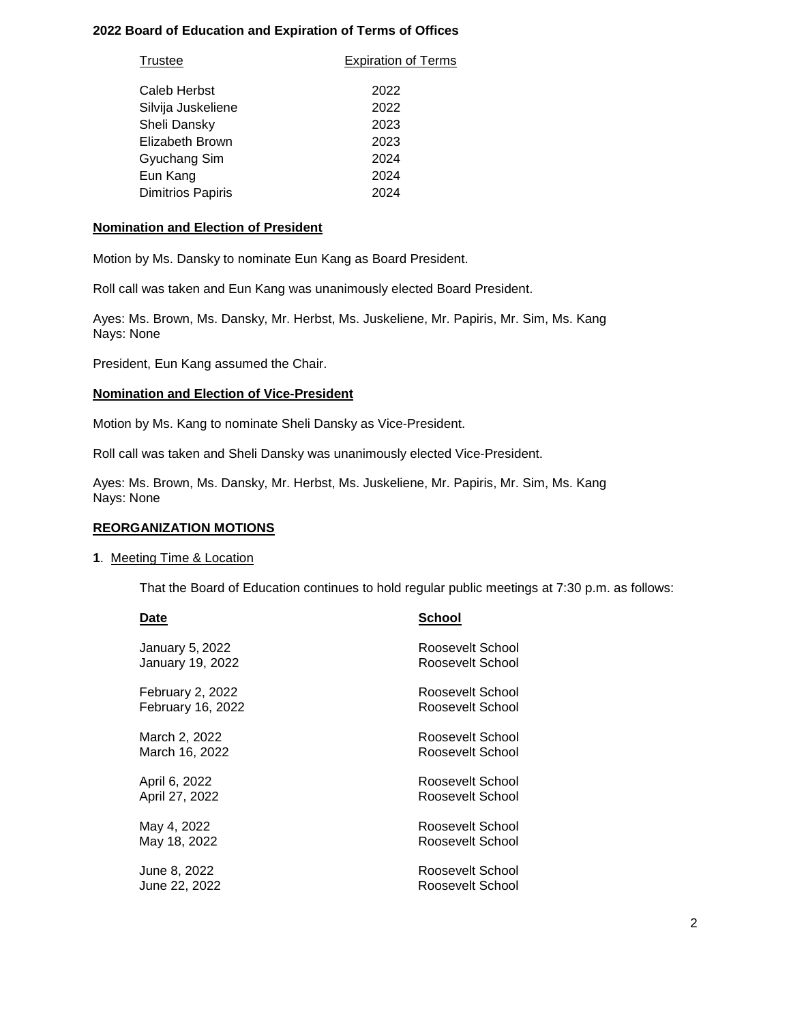## **2022 Board of Education and Expiration of Terms of Offices**

| <b>Expiration of Terms</b> |  |  |
|----------------------------|--|--|
|                            |  |  |
| 2022                       |  |  |
| 2022                       |  |  |
| 2023                       |  |  |
| 2023                       |  |  |
| 2024                       |  |  |
| 2024                       |  |  |
| 2024                       |  |  |
|                            |  |  |

## **Nomination and Election of President**

Motion by Ms. Dansky to nominate Eun Kang as Board President.

Roll call was taken and Eun Kang was unanimously elected Board President.

Ayes: Ms. Brown, Ms. Dansky, Mr. Herbst, Ms. Juskeliene, Mr. Papiris, Mr. Sim, Ms. Kang Nays: None

President, Eun Kang assumed the Chair.

## **Nomination and Election of Vice-President**

Motion by Ms. Kang to nominate Sheli Dansky as Vice-President.

Roll call was taken and Sheli Dansky was unanimously elected Vice-President.

Ayes: Ms. Brown, Ms. Dansky, Mr. Herbst, Ms. Juskeliene, Mr. Papiris, Mr. Sim, Ms. Kang Nays: None

## **REORGANIZATION MOTIONS**

#### **1**. Meeting Time & Location

That the Board of Education continues to hold regular public meetings at 7:30 p.m. as follows:

| Date                     | School           |
|--------------------------|------------------|
| January 5, 2022          | Roosevelt School |
| <b>January 19, 2022</b>  | Roosevelt School |
| February 2, 2022         | Roosevelt School |
| <b>February 16, 2022</b> | Roosevelt School |
| March 2, 2022            | Roosevelt School |
| March 16, 2022           | Roosevelt School |
| April 6, 2022            | Roosevelt School |
| April 27, 2022           | Roosevelt School |
| May 4, 2022              | Roosevelt School |
| May 18, 2022             | Roosevelt School |
| June 8, 2022             | Roosevelt School |
| June 22, 2022            | Roosevelt School |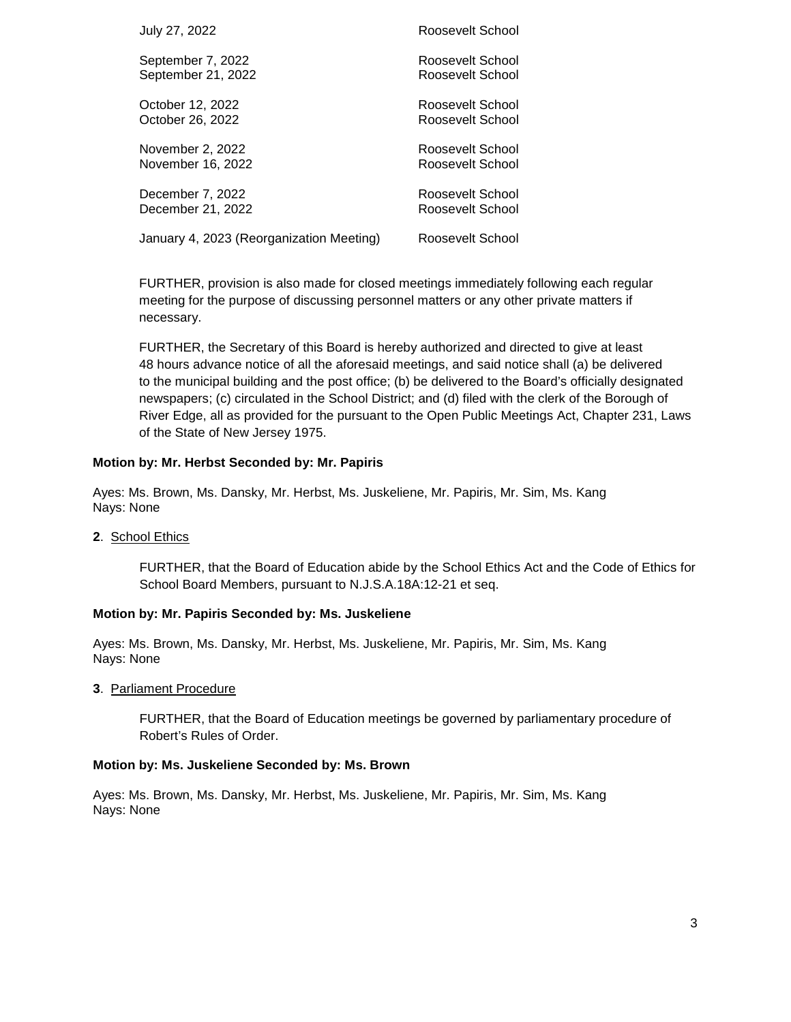| July 27, 2022                            | Roosevelt School |
|------------------------------------------|------------------|
| September 7, 2022                        | Roosevelt School |
| September 21, 2022                       | Roosevelt School |
| October 12, 2022                         | Roosevelt School |
| October 26, 2022                         | Roosevelt School |
| November 2, 2022                         | Roosevelt School |
| November 16, 2022                        | Roosevelt School |
| December 7, 2022                         | Roosevelt School |
| December 21, 2022                        | Roosevelt School |
| January 4, 2023 (Reorganization Meeting) | Roosevelt School |

FURTHER, provision is also made for closed meetings immediately following each regular meeting for the purpose of discussing personnel matters or any other private matters if necessary.

FURTHER, the Secretary of this Board is hereby authorized and directed to give at least 48 hours advance notice of all the aforesaid meetings, and said notice shall (a) be delivered to the municipal building and the post office; (b) be delivered to the Board's officially designated newspapers; (c) circulated in the School District; and (d) filed with the clerk of the Borough of River Edge, all as provided for the pursuant to the Open Public Meetings Act, Chapter 231, Laws of the State of New Jersey 1975.

## **Motion by: Mr. Herbst Seconded by: Mr. Papiris**

Ayes: Ms. Brown, Ms. Dansky, Mr. Herbst, Ms. Juskeliene, Mr. Papiris, Mr. Sim, Ms. Kang Nays: None

**2**. School Ethics

FURTHER, that the Board of Education abide by the School Ethics Act and the Code of Ethics for School Board Members, pursuant to N.J.S.A.18A:12-21 et seq.

#### **Motion by: Mr. Papiris Seconded by: Ms. Juskeliene**

Ayes: Ms. Brown, Ms. Dansky, Mr. Herbst, Ms. Juskeliene, Mr. Papiris, Mr. Sim, Ms. Kang Nays: None

**3**. Parliament Procedure

FURTHER, that the Board of Education meetings be governed by parliamentary procedure of Robert's Rules of Order.

#### **Motion by: Ms. Juskeliene Seconded by: Ms. Brown**

Ayes: Ms. Brown, Ms. Dansky, Mr. Herbst, Ms. Juskeliene, Mr. Papiris, Mr. Sim, Ms. Kang Nays: None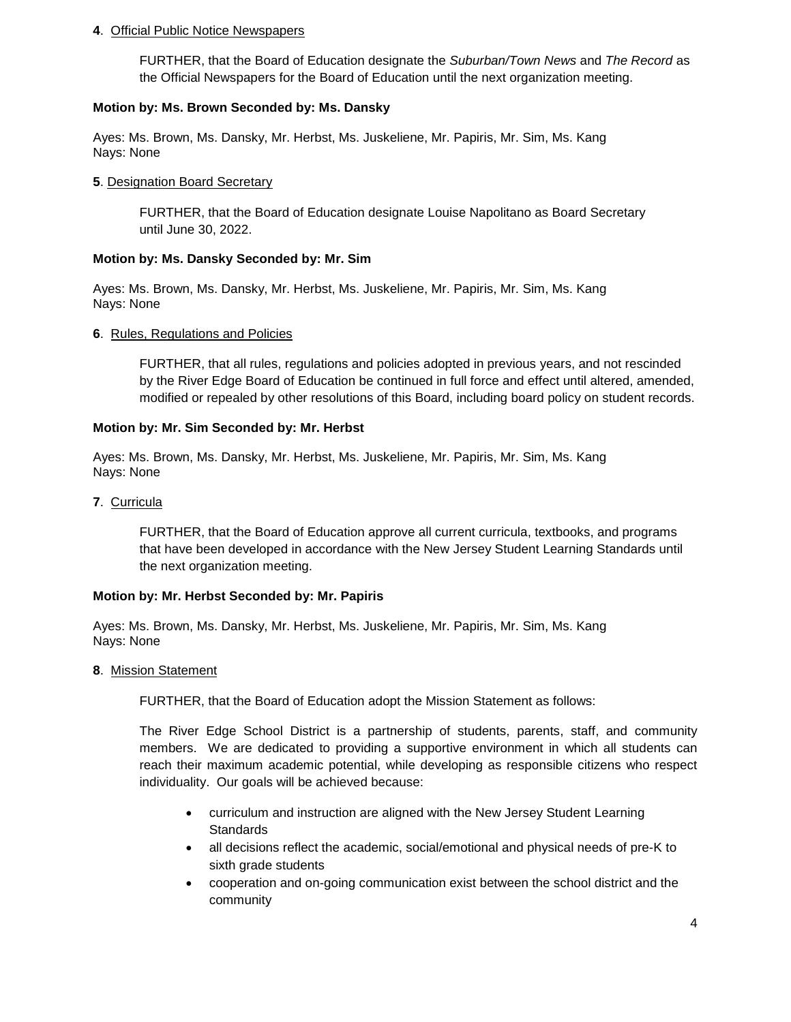### **4**. Official Public Notice Newspapers

FURTHER, that the Board of Education designate the *Suburban/Town News* and *The Record* as the Official Newspapers for the Board of Education until the next organization meeting.

## **Motion by: Ms. Brown Seconded by: Ms. Dansky**

Ayes: Ms. Brown, Ms. Dansky, Mr. Herbst, Ms. Juskeliene, Mr. Papiris, Mr. Sim, Ms. Kang Nays: None

### **5**. Designation Board Secretary

FURTHER, that the Board of Education designate Louise Napolitano as Board Secretary until June 30, 2022.

## **Motion by: Ms. Dansky Seconded by: Mr. Sim**

Ayes: Ms. Brown, Ms. Dansky, Mr. Herbst, Ms. Juskeliene, Mr. Papiris, Mr. Sim, Ms. Kang Nays: None

## **6**. Rules, Regulations and Policies

FURTHER, that all rules, regulations and policies adopted in previous years, and not rescinded by the River Edge Board of Education be continued in full force and effect until altered, amended, modified or repealed by other resolutions of this Board, including board policy on student records.

## **Motion by: Mr. Sim Seconded by: Mr. Herbst**

Ayes: Ms. Brown, Ms. Dansky, Mr. Herbst, Ms. Juskeliene, Mr. Papiris, Mr. Sim, Ms. Kang Nays: None

**7**. Curricula

FURTHER, that the Board of Education approve all current curricula, textbooks, and programs that have been developed in accordance with the New Jersey Student Learning Standards until the next organization meeting.

#### **Motion by: Mr. Herbst Seconded by: Mr. Papiris**

Ayes: Ms. Brown, Ms. Dansky, Mr. Herbst, Ms. Juskeliene, Mr. Papiris, Mr. Sim, Ms. Kang Nays: None

#### **8**. Mission Statement

FURTHER, that the Board of Education adopt the Mission Statement as follows:

The River Edge School District is a partnership of students, parents, staff, and community members. We are dedicated to providing a supportive environment in which all students can reach their maximum academic potential, while developing as responsible citizens who respect individuality. Our goals will be achieved because:

- curriculum and instruction are aligned with the New Jersey Student Learning **Standards**
- all decisions reflect the academic, social/emotional and physical needs of pre-K to sixth grade students
- cooperation and on-going communication exist between the school district and the community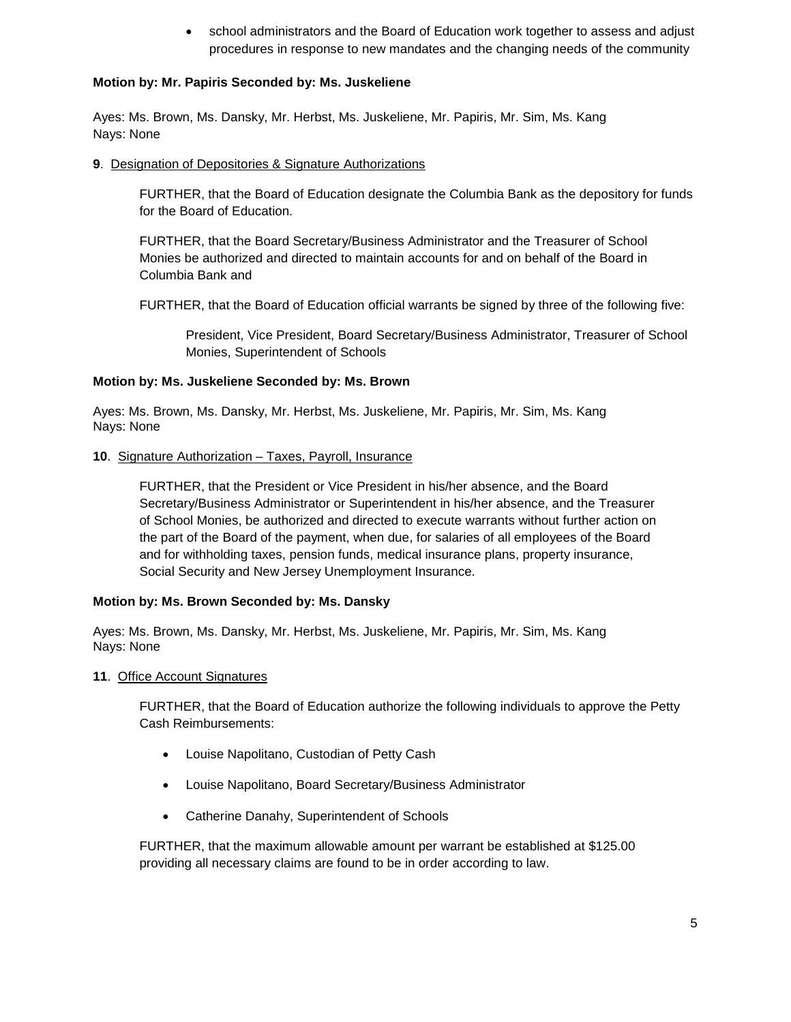• school administrators and the Board of Education work together to assess and adjust procedures in response to new mandates and the changing needs of the community

## **Motion by: Mr. Papiris Seconded by: Ms. Juskeliene**

Ayes: Ms. Brown, Ms. Dansky, Mr. Herbst, Ms. Juskeliene, Mr. Papiris, Mr. Sim, Ms. Kang Nays: None

**9**. Designation of Depositories & Signature Authorizations

FURTHER, that the Board of Education designate the Columbia Bank as the depository for funds for the Board of Education.

FURTHER, that the Board Secretary/Business Administrator and the Treasurer of School Monies be authorized and directed to maintain accounts for and on behalf of the Board in Columbia Bank and

FURTHER, that the Board of Education official warrants be signed by three of the following five:

President, Vice President, Board Secretary/Business Administrator, Treasurer of School Monies, Superintendent of Schools

## **Motion by: Ms. Juskeliene Seconded by: Ms. Brown**

Ayes: Ms. Brown, Ms. Dansky, Mr. Herbst, Ms. Juskeliene, Mr. Papiris, Mr. Sim, Ms. Kang Nays: None

## **10**. Signature Authorization – Taxes, Payroll, Insurance

FURTHER, that the President or Vice President in his/her absence, and the Board Secretary/Business Administrator or Superintendent in his/her absence, and the Treasurer of School Monies, be authorized and directed to execute warrants without further action on the part of the Board of the payment, when due, for salaries of all employees of the Board and for withholding taxes, pension funds, medical insurance plans, property insurance, Social Security and New Jersey Unemployment Insurance.

#### **Motion by: Ms. Brown Seconded by: Ms. Dansky**

Ayes: Ms. Brown, Ms. Dansky, Mr. Herbst, Ms. Juskeliene, Mr. Papiris, Mr. Sim, Ms. Kang Nays: None

#### **11**. Office Account Signatures

FURTHER, that the Board of Education authorize the following individuals to approve the Petty Cash Reimbursements:

- Louise Napolitano, Custodian of Petty Cash
- Louise Napolitano, Board Secretary/Business Administrator
- Catherine Danahy, Superintendent of Schools

FURTHER, that the maximum allowable amount per warrant be established at \$125.00 providing all necessary claims are found to be in order according to law.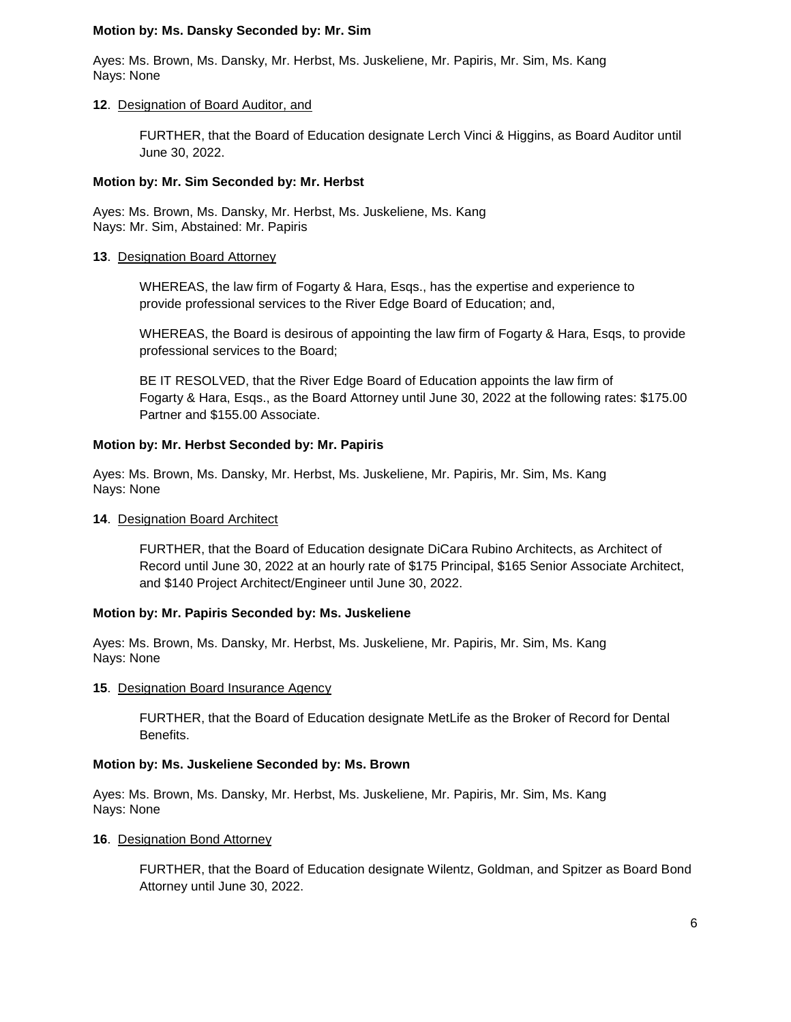#### **Motion by: Ms. Dansky Seconded by: Mr. Sim**

Ayes: Ms. Brown, Ms. Dansky, Mr. Herbst, Ms. Juskeliene, Mr. Papiris, Mr. Sim, Ms. Kang Nays: None

#### **12**. Designation of Board Auditor, and

FURTHER, that the Board of Education designate Lerch Vinci & Higgins, as Board Auditor until June 30, 2022.

#### **Motion by: Mr. Sim Seconded by: Mr. Herbst**

Ayes: Ms. Brown, Ms. Dansky, Mr. Herbst, Ms. Juskeliene, Ms. Kang Nays: Mr. Sim, Abstained: Mr. Papiris

#### **13**. Designation Board Attorney

WHEREAS, the law firm of Fogarty & Hara, Esqs., has the expertise and experience to provide professional services to the River Edge Board of Education; and,

WHEREAS, the Board is desirous of appointing the law firm of Fogarty & Hara, Esqs, to provide professional services to the Board;

BE IT RESOLVED, that the River Edge Board of Education appoints the law firm of Fogarty & Hara, Esqs., as the Board Attorney until June 30, 2022 at the following rates: \$175.00 Partner and \$155.00 Associate.

#### **Motion by: Mr. Herbst Seconded by: Mr. Papiris**

Ayes: Ms. Brown, Ms. Dansky, Mr. Herbst, Ms. Juskeliene, Mr. Papiris, Mr. Sim, Ms. Kang Nays: None

#### **14**. Designation Board Architect

FURTHER, that the Board of Education designate DiCara Rubino Architects, as Architect of Record until June 30, 2022 at an hourly rate of \$175 Principal, \$165 Senior Associate Architect, and \$140 Project Architect/Engineer until June 30, 2022.

#### **Motion by: Mr. Papiris Seconded by: Ms. Juskeliene**

Ayes: Ms. Brown, Ms. Dansky, Mr. Herbst, Ms. Juskeliene, Mr. Papiris, Mr. Sim, Ms. Kang Nays: None

#### **15**. Designation Board Insurance Agency

FURTHER, that the Board of Education designate MetLife as the Broker of Record for Dental Benefits.

#### **Motion by: Ms. Juskeliene Seconded by: Ms. Brown**

Ayes: Ms. Brown, Ms. Dansky, Mr. Herbst, Ms. Juskeliene, Mr. Papiris, Mr. Sim, Ms. Kang Nays: None

## **16**. Designation Bond Attorney

FURTHER, that the Board of Education designate Wilentz, Goldman, and Spitzer as Board Bond Attorney until June 30, 2022.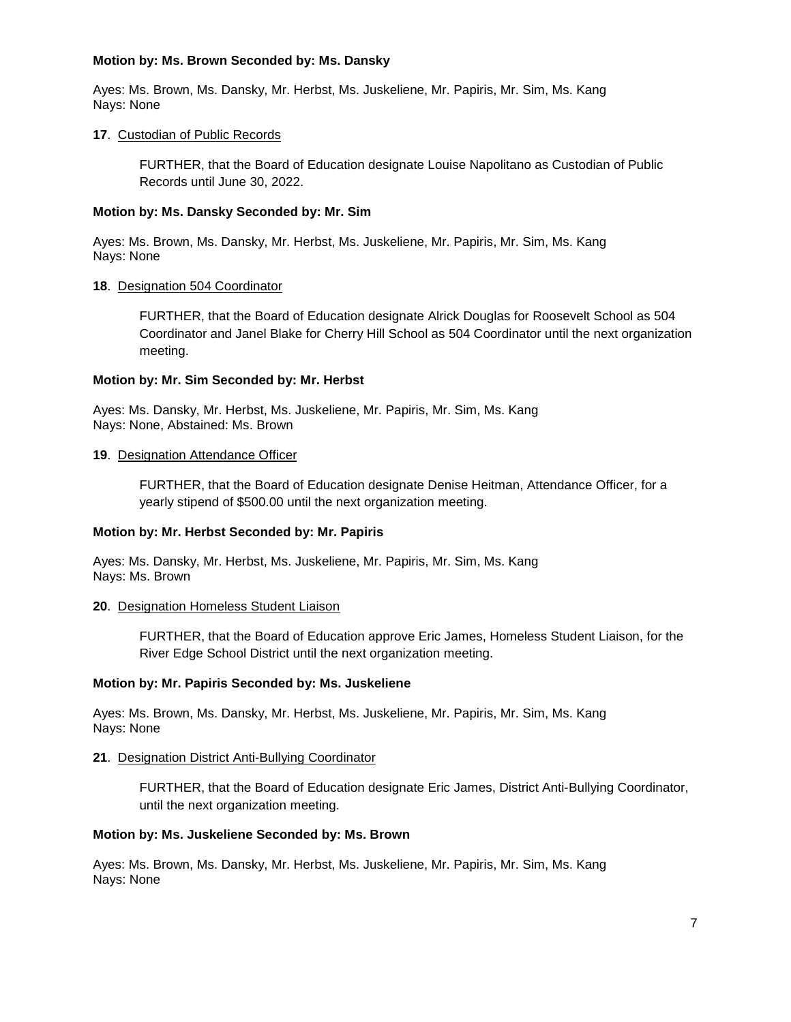### **Motion by: Ms. Brown Seconded by: Ms. Dansky**

Ayes: Ms. Brown, Ms. Dansky, Mr. Herbst, Ms. Juskeliene, Mr. Papiris, Mr. Sim, Ms. Kang Nays: None

### **17**. Custodian of Public Records

FURTHER, that the Board of Education designate Louise Napolitano as Custodian of Public Records until June 30, 2022.

### **Motion by: Ms. Dansky Seconded by: Mr. Sim**

Ayes: Ms. Brown, Ms. Dansky, Mr. Herbst, Ms. Juskeliene, Mr. Papiris, Mr. Sim, Ms. Kang Nays: None

## **18**. Designation 504 Coordinator

FURTHER, that the Board of Education designate Alrick Douglas for Roosevelt School as 504 Coordinator and Janel Blake for Cherry Hill School as 504 Coordinator until the next organization meeting.

## **Motion by: Mr. Sim Seconded by: Mr. Herbst**

Ayes: Ms. Dansky, Mr. Herbst, Ms. Juskeliene, Mr. Papiris, Mr. Sim, Ms. Kang Nays: None, Abstained: Ms. Brown

## **19**. Designation Attendance Officer

FURTHER, that the Board of Education designate Denise Heitman, Attendance Officer, for a yearly stipend of \$500.00 until the next organization meeting.

#### **Motion by: Mr. Herbst Seconded by: Mr. Papiris**

Ayes: Ms. Dansky, Mr. Herbst, Ms. Juskeliene, Mr. Papiris, Mr. Sim, Ms. Kang Nays: Ms. Brown

#### **20**. Designation Homeless Student Liaison

FURTHER, that the Board of Education approve Eric James, Homeless Student Liaison, for the River Edge School District until the next organization meeting.

#### **Motion by: Mr. Papiris Seconded by: Ms. Juskeliene**

Ayes: Ms. Brown, Ms. Dansky, Mr. Herbst, Ms. Juskeliene, Mr. Papiris, Mr. Sim, Ms. Kang Nays: None

#### **21**. Designation District Anti-Bullying Coordinator

FURTHER, that the Board of Education designate Eric James, District Anti-Bullying Coordinator, until the next organization meeting.

#### **Motion by: Ms. Juskeliene Seconded by: Ms. Brown**

Ayes: Ms. Brown, Ms. Dansky, Mr. Herbst, Ms. Juskeliene, Mr. Papiris, Mr. Sim, Ms. Kang Nays: None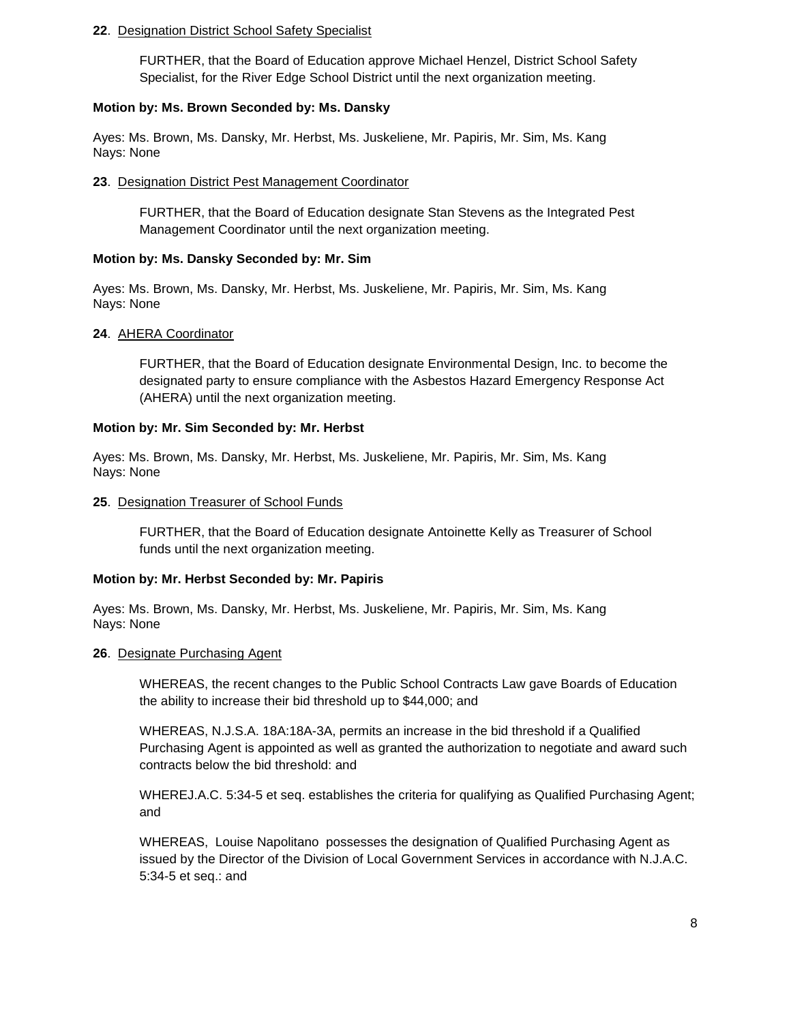#### **22**. Designation District School Safety Specialist

FURTHER, that the Board of Education approve Michael Henzel, District School Safety Specialist, for the River Edge School District until the next organization meeting.

#### **Motion by: Ms. Brown Seconded by: Ms. Dansky**

Ayes: Ms. Brown, Ms. Dansky, Mr. Herbst, Ms. Juskeliene, Mr. Papiris, Mr. Sim, Ms. Kang Nays: None

## **23**. Designation District Pest Management Coordinator

FURTHER, that the Board of Education designate Stan Stevens as the Integrated Pest Management Coordinator until the next organization meeting.

#### **Motion by: Ms. Dansky Seconded by: Mr. Sim**

Ayes: Ms. Brown, Ms. Dansky, Mr. Herbst, Ms. Juskeliene, Mr. Papiris, Mr. Sim, Ms. Kang Nays: None

#### **24**. AHERA Coordinator

FURTHER, that the Board of Education designate Environmental Design, Inc. to become the designated party to ensure compliance with the Asbestos Hazard Emergency Response Act (AHERA) until the next organization meeting.

#### **Motion by: Mr. Sim Seconded by: Mr. Herbst**

Ayes: Ms. Brown, Ms. Dansky, Mr. Herbst, Ms. Juskeliene, Mr. Papiris, Mr. Sim, Ms. Kang Nays: None

#### **25**. Designation Treasurer of School Funds

FURTHER, that the Board of Education designate Antoinette Kelly as Treasurer of School funds until the next organization meeting.

#### **Motion by: Mr. Herbst Seconded by: Mr. Papiris**

Ayes: Ms. Brown, Ms. Dansky, Mr. Herbst, Ms. Juskeliene, Mr. Papiris, Mr. Sim, Ms. Kang Nays: None

#### **26**. Designate Purchasing Agent

WHEREAS, the recent changes to the Public School Contracts Law gave Boards of Education the ability to increase their bid threshold up to \$44,000; and

WHEREAS, N.J.S.A. 18A:18A-3A, permits an increase in the bid threshold if a Qualified Purchasing Agent is appointed as well as granted the authorization to negotiate and award such contracts below the bid threshold: and

WHEREJ.A.C. 5:34-5 et seq. establishes the criteria for qualifying as Qualified Purchasing Agent; and

WHEREAS, Louise Napolitano possesses the designation of Qualified Purchasing Agent as issued by the Director of the Division of Local Government Services in accordance with N.J.A.C. 5:34-5 et seq.: and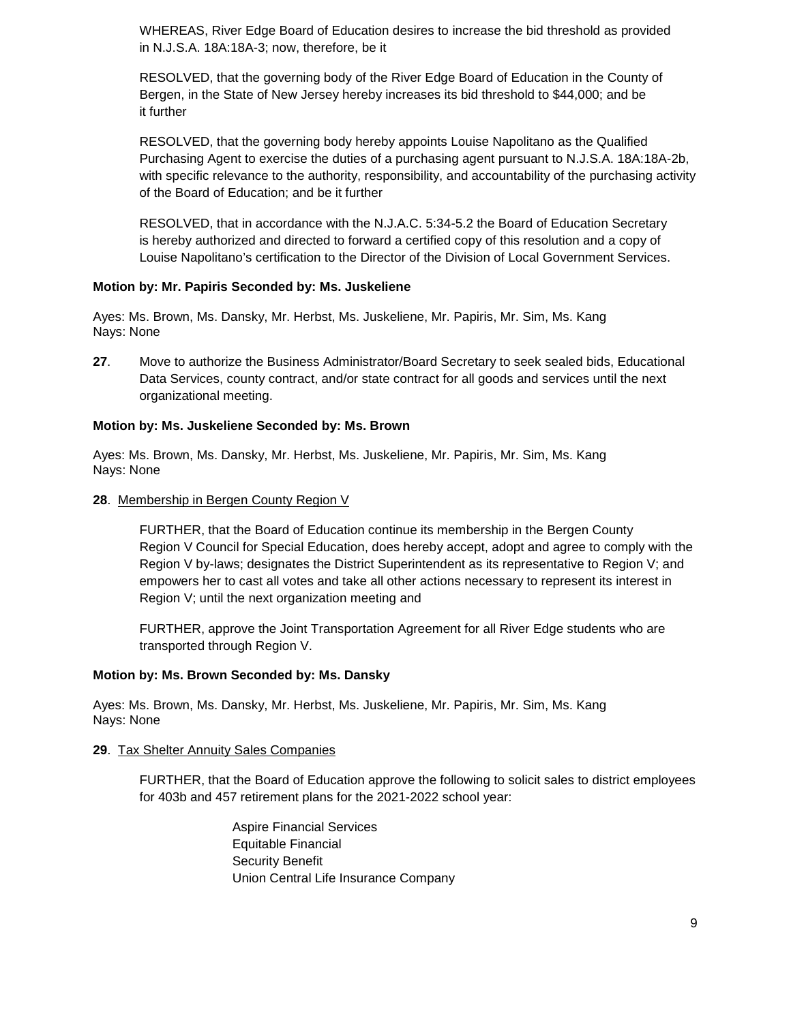WHEREAS, River Edge Board of Education desires to increase the bid threshold as provided in N.J.S.A. 18A:18A-3; now, therefore, be it

RESOLVED, that the governing body of the River Edge Board of Education in the County of Bergen, in the State of New Jersey hereby increases its bid threshold to \$44,000; and be it further

RESOLVED, that the governing body hereby appoints Louise Napolitano as the Qualified Purchasing Agent to exercise the duties of a purchasing agent pursuant to N.J.S.A. 18A:18A-2b, with specific relevance to the authority, responsibility, and accountability of the purchasing activity of the Board of Education; and be it further

RESOLVED, that in accordance with the N.J.A.C. 5:34-5.2 the Board of Education Secretary is hereby authorized and directed to forward a certified copy of this resolution and a copy of Louise Napolitano's certification to the Director of the Division of Local Government Services.

## **Motion by: Mr. Papiris Seconded by: Ms. Juskeliene**

Ayes: Ms. Brown, Ms. Dansky, Mr. Herbst, Ms. Juskeliene, Mr. Papiris, Mr. Sim, Ms. Kang Nays: None

**27**. Move to authorize the Business Administrator/Board Secretary to seek sealed bids, Educational Data Services, county contract, and/or state contract for all goods and services until the next organizational meeting.

## **Motion by: Ms. Juskeliene Seconded by: Ms. Brown**

Ayes: Ms. Brown, Ms. Dansky, Mr. Herbst, Ms. Juskeliene, Mr. Papiris, Mr. Sim, Ms. Kang Nays: None

#### **28**. Membership in Bergen County Region V

FURTHER, that the Board of Education continue its membership in the Bergen County Region V Council for Special Education, does hereby accept, adopt and agree to comply with the Region V by-laws; designates the District Superintendent as its representative to Region V; and empowers her to cast all votes and take all other actions necessary to represent its interest in Region V; until the next organization meeting and

FURTHER, approve the Joint Transportation Agreement for all River Edge students who are transported through Region V.

#### **Motion by: Ms. Brown Seconded by: Ms. Dansky**

Ayes: Ms. Brown, Ms. Dansky, Mr. Herbst, Ms. Juskeliene, Mr. Papiris, Mr. Sim, Ms. Kang Nays: None

#### **29**. Tax Shelter Annuity Sales Companies

FURTHER, that the Board of Education approve the following to solicit sales to district employees for 403b and 457 retirement plans for the 2021-2022 school year:

> Aspire Financial Services Equitable Financial Security Benefit Union Central Life Insurance Company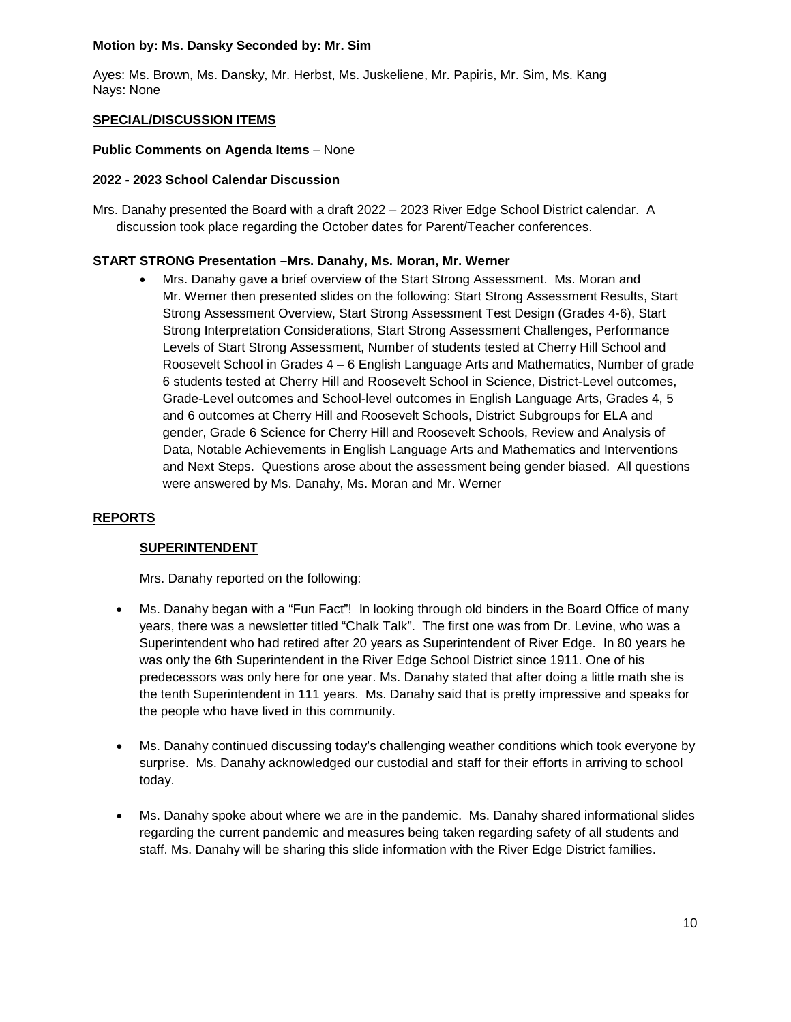## **Motion by: Ms. Dansky Seconded by: Mr. Sim**

Ayes: Ms. Brown, Ms. Dansky, Mr. Herbst, Ms. Juskeliene, Mr. Papiris, Mr. Sim, Ms. Kang Nays: None

## **SPECIAL/DISCUSSION ITEMS**

## **Public Comments on Agenda Items** – None

## **2022 - 2023 School Calendar Discussion**

Mrs. Danahy presented the Board with a draft 2022 – 2023 River Edge School District calendar. A discussion took place regarding the October dates for Parent/Teacher conferences.

## **START STRONG Presentation –Mrs. Danahy, Ms. Moran, Mr. Werner**

• Mrs. Danahy gave a brief overview of the Start Strong Assessment. Ms. Moran and Mr. Werner then presented slides on the following: Start Strong Assessment Results, Start Strong Assessment Overview, Start Strong Assessment Test Design (Grades 4-6), Start Strong Interpretation Considerations, Start Strong Assessment Challenges, Performance Levels of Start Strong Assessment, Number of students tested at Cherry Hill School and Roosevelt School in Grades 4 – 6 English Language Arts and Mathematics, Number of grade 6 students tested at Cherry Hill and Roosevelt School in Science, District-Level outcomes, Grade-Level outcomes and School-level outcomes in English Language Arts, Grades 4, 5 and 6 outcomes at Cherry Hill and Roosevelt Schools, District Subgroups for ELA and gender, Grade 6 Science for Cherry Hill and Roosevelt Schools, Review and Analysis of Data, Notable Achievements in English Language Arts and Mathematics and Interventions and Next Steps. Questions arose about the assessment being gender biased. All questions were answered by Ms. Danahy, Ms. Moran and Mr. Werner

## **REPORTS**

#### **SUPERINTENDENT**

Mrs. Danahy reported on the following:

- Ms. Danahy began with a "Fun Fact"! In looking through old binders in the Board Office of many years, there was a newsletter titled "Chalk Talk". The first one was from Dr. Levine, who was a Superintendent who had retired after 20 years as Superintendent of River Edge. In 80 years he was only the 6th Superintendent in the River Edge School District since 1911. One of his predecessors was only here for one year. Ms. Danahy stated that after doing a little math she is the tenth Superintendent in 111 years. Ms. Danahy said that is pretty impressive and speaks for the people who have lived in this community.
- Ms. Danahy continued discussing today's challenging weather conditions which took everyone by surprise. Ms. Danahy acknowledged our custodial and staff for their efforts in arriving to school today.
- Ms. Danahy spoke about where we are in the pandemic. Ms. Danahy shared informational slides regarding the current pandemic and measures being taken regarding safety of all students and staff. Ms. Danahy will be sharing this slide information with the River Edge District families.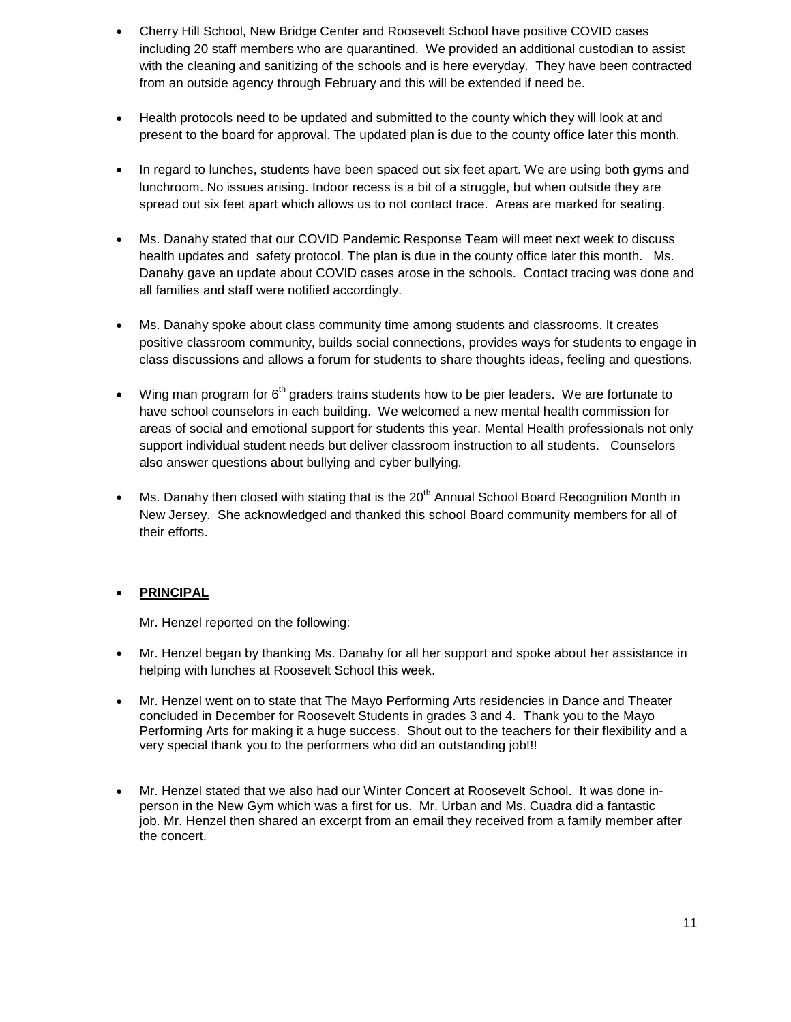- Cherry Hill School, New Bridge Center and Roosevelt School have positive COVID cases including 20 staff members who are quarantined. We provided an additional custodian to assist with the cleaning and sanitizing of the schools and is here everyday. They have been contracted from an outside agency through February and this will be extended if need be.
- Health protocols need to be updated and submitted to the county which they will look at and present to the board for approval. The updated plan is due to the county office later this month.
- In regard to lunches, students have been spaced out six feet apart. We are using both gyms and lunchroom. No issues arising. Indoor recess is a bit of a struggle, but when outside they are spread out six feet apart which allows us to not contact trace. Areas are marked for seating.
- Ms. Danahy stated that our COVID Pandemic Response Team will meet next week to discuss health updates and safety protocol. The plan is due in the county office later this month. Ms. Danahy gave an update about COVID cases arose in the schools. Contact tracing was done and all families and staff were notified accordingly.
- Ms. Danahy spoke about class community time among students and classrooms. It creates positive classroom community, builds social connections, provides ways for students to engage in class discussions and allows a forum for students to share thoughts ideas, feeling and questions.
- Wing man program for  $6<sup>th</sup>$  graders trains students how to be pier leaders. We are fortunate to have school counselors in each building. We welcomed a new mental health commission for areas of social and emotional support for students this year. Mental Health professionals not only support individual student needs but deliver classroom instruction to all students. Counselors also answer questions about bullying and cyber bullying.
- Ms. Danahy then closed with stating that is the 20<sup>th</sup> Annual School Board Recognition Month in New Jersey. She acknowledged and thanked this school Board community members for all of their efforts.

## • **PRINCIPAL**

Mr. Henzel reported on the following:

- Mr. Henzel began by thanking Ms. Danahy for all her support and spoke about her assistance in helping with lunches at Roosevelt School this week.
- Mr. Henzel went on to state that The Mayo Performing Arts residencies in Dance and Theater concluded in December for Roosevelt Students in grades 3 and 4. Thank you to the Mayo Performing Arts for making it a huge success. Shout out to the teachers for their flexibility and a very special thank you to the performers who did an outstanding job!!!
- Mr. Henzel stated that we also had our Winter Concert at Roosevelt School. It was done inperson in the New Gym which was a first for us. Mr. Urban and Ms. Cuadra did a fantastic job. Mr. Henzel then shared an excerpt from an email they received from a family member after the concert.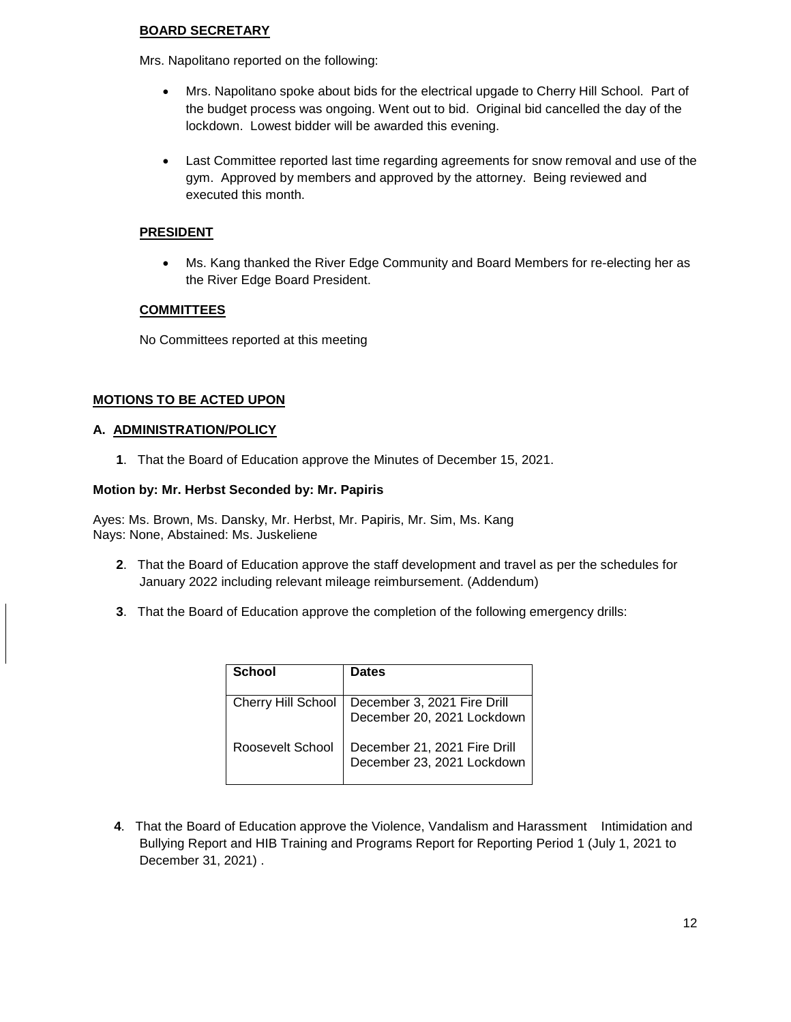## **BOARD SECRETARY**

Mrs. Napolitano reported on the following:

- Mrs. Napolitano spoke about bids for the electrical upgade to Cherry Hill School. Part of the budget process was ongoing. Went out to bid. Original bid cancelled the day of the lockdown. Lowest bidder will be awarded this evening.
- Last Committee reported last time regarding agreements for snow removal and use of the gym. Approved by members and approved by the attorney. Being reviewed and executed this month.

## **PRESIDENT**

• Ms. Kang thanked the River Edge Community and Board Members for re-electing her as the River Edge Board President.

## **COMMITTEES**

No Committees reported at this meeting

## **MOTIONS TO BE ACTED UPON**

#### **A. ADMINISTRATION/POLICY**

**1**. That the Board of Education approve the Minutes of December 15, 2021.

#### **Motion by: Mr. Herbst Seconded by: Mr. Papiris**

Ayes: Ms. Brown, Ms. Dansky, Mr. Herbst, Mr. Papiris, Mr. Sim, Ms. Kang Nays: None, Abstained: Ms. Juskeliene

- **2**. That the Board of Education approve the staff development and travel as per the schedules for January 2022 including relevant mileage reimbursement. (Addendum)
- **3**. That the Board of Education approve the completion of the following emergency drills:

| School                    | <b>Dates</b>                                               |
|---------------------------|------------------------------------------------------------|
| <b>Cherry Hill School</b> | December 3, 2021 Fire Drill<br>December 20, 2021 Lockdown  |
| Roosevelt School          | December 21, 2021 Fire Drill<br>December 23, 2021 Lockdown |

**4**. That the Board of Education approve the Violence, Vandalism and Harassment Intimidation and Bullying Report and HIB Training and Programs Report for Reporting Period 1 (July 1, 2021 to December 31, 2021) .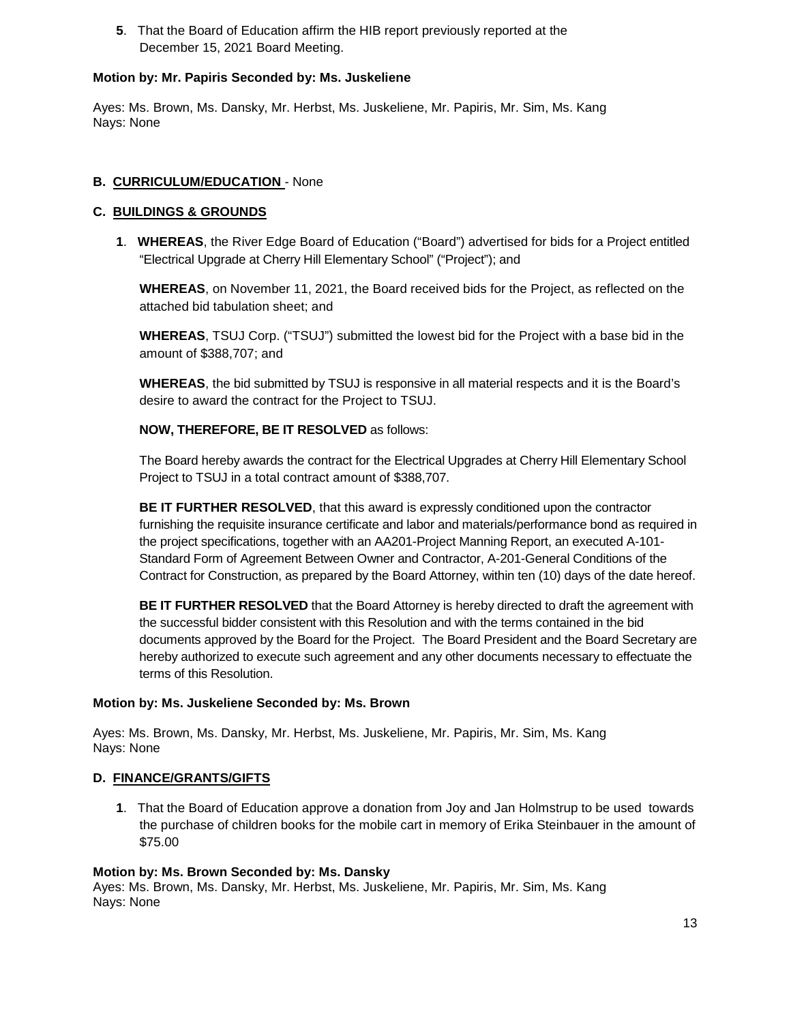**5**. That the Board of Education affirm the HIB report previously reported at the December 15, 2021 Board Meeting.

## **Motion by: Mr. Papiris Seconded by: Ms. Juskeliene**

Ayes: Ms. Brown, Ms. Dansky, Mr. Herbst, Ms. Juskeliene, Mr. Papiris, Mr. Sim, Ms. Kang Nays: None

## **B. CURRICULUM/EDUCATION** - None

## **C. BUILDINGS & GROUNDS**

**1**. **WHEREAS**, the River Edge Board of Education ("Board") advertised for bids for a Project entitled "Electrical Upgrade at Cherry Hill Elementary School" ("Project"); and

**WHEREAS**, on November 11, 2021, the Board received bids for the Project, as reflected on the attached bid tabulation sheet; and

**WHEREAS**, TSUJ Corp. ("TSUJ") submitted the lowest bid for the Project with a base bid in the amount of \$388,707; and

**WHEREAS**, the bid submitted by TSUJ is responsive in all material respects and it is the Board's desire to award the contract for the Project to TSUJ.

## **NOW, THEREFORE, BE IT RESOLVED** as follows:

The Board hereby awards the contract for the Electrical Upgrades at Cherry Hill Elementary School Project to TSUJ in a total contract amount of \$388,707.

**BE IT FURTHER RESOLVED**, that this award is expressly conditioned upon the contractor furnishing the requisite insurance certificate and labor and materials/performance bond as required in the project specifications, together with an AA201-Project Manning Report, an executed A-101- Standard Form of Agreement Between Owner and Contractor, A-201-General Conditions of the Contract for Construction, as prepared by the Board Attorney, within ten (10) days of the date hereof.

**BE IT FURTHER RESOLVED** that the Board Attorney is hereby directed to draft the agreement with the successful bidder consistent with this Resolution and with the terms contained in the bid documents approved by the Board for the Project. The Board President and the Board Secretary are hereby authorized to execute such agreement and any other documents necessary to effectuate the terms of this Resolution.

#### **Motion by: Ms. Juskeliene Seconded by: Ms. Brown**

Ayes: Ms. Brown, Ms. Dansky, Mr. Herbst, Ms. Juskeliene, Mr. Papiris, Mr. Sim, Ms. Kang Nays: None

## **D. FINANCE/GRANTS/GIFTS**

**1**. That the Board of Education approve a donation from Joy and Jan Holmstrup to be used towards the purchase of children books for the mobile cart in memory of Erika Steinbauer in the amount of \$75.00

#### **Motion by: Ms. Brown Seconded by: Ms. Dansky**

Ayes: Ms. Brown, Ms. Dansky, Mr. Herbst, Ms. Juskeliene, Mr. Papiris, Mr. Sim, Ms. Kang Nays: None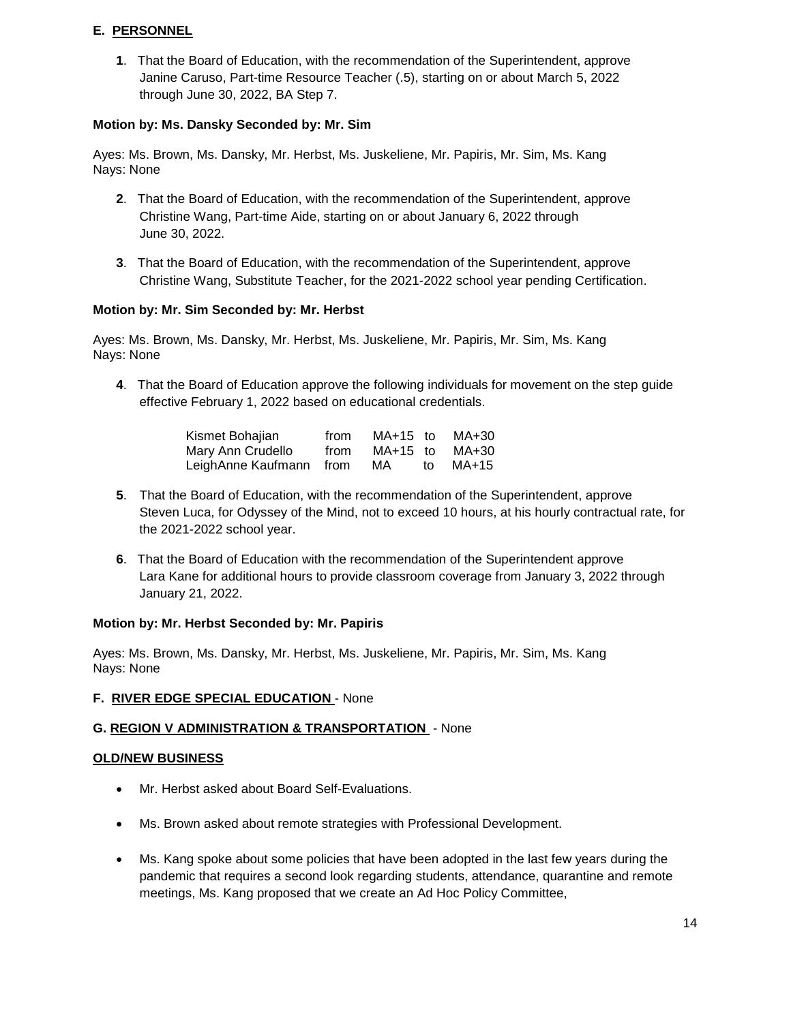## **E. PERSONNEL**

**1**. That the Board of Education, with the recommendation of the Superintendent, approve Janine Caruso, Part-time Resource Teacher (.5), starting on or about March 5, 2022 through June 30, 2022, BA Step 7.

## **Motion by: Ms. Dansky Seconded by: Mr. Sim**

Ayes: Ms. Brown, Ms. Dansky, Mr. Herbst, Ms. Juskeliene, Mr. Papiris, Mr. Sim, Ms. Kang Nays: None

- **2**. That the Board of Education, with the recommendation of the Superintendent, approve Christine Wang, Part-time Aide, starting on or about January 6, 2022 through June 30, 2022.
- **3**. That the Board of Education, with the recommendation of the Superintendent, approve Christine Wang, Substitute Teacher, for the 2021-2022 school year pending Certification.

## **Motion by: Mr. Sim Seconded by: Mr. Herbst**

Ayes: Ms. Brown, Ms. Dansky, Mr. Herbst, Ms. Juskeliene, Mr. Papiris, Mr. Sim, Ms. Kang Nays: None

**4**. That the Board of Education approve the following individuals for movement on the step guide effective February 1, 2022 based on educational credentials.

| Kismet Bohajian         | from | $MA+15$ to |    | MA+30 |
|-------------------------|------|------------|----|-------|
| Mary Ann Crudello       | from | $MA+15$ to |    | MA+30 |
| LeighAnne Kaufmann from |      | MA         | to | MA+15 |

- **5**. That the Board of Education, with the recommendation of the Superintendent, approve Steven Luca, for Odyssey of the Mind, not to exceed 10 hours, at his hourly contractual rate, for the 2021-2022 school year.
- **6**. That the Board of Education with the recommendation of the Superintendent approve Lara Kane for additional hours to provide classroom coverage from January 3, 2022 through January 21, 2022.

#### **Motion by: Mr. Herbst Seconded by: Mr. Papiris**

Ayes: Ms. Brown, Ms. Dansky, Mr. Herbst, Ms. Juskeliene, Mr. Papiris, Mr. Sim, Ms. Kang Nays: None

## **F. RIVER EDGE SPECIAL EDUCATION** - None

## **G. REGION V ADMINISTRATION & TRANSPORTATION** - None

#### **OLD/NEW BUSINESS**

- Mr. Herbst asked about Board Self-Evaluations.
- Ms. Brown asked about remote strategies with Professional Development.
- Ms. Kang spoke about some policies that have been adopted in the last few years during the pandemic that requires a second look regarding students, attendance, quarantine and remote meetings, Ms. Kang proposed that we create an Ad Hoc Policy Committee,